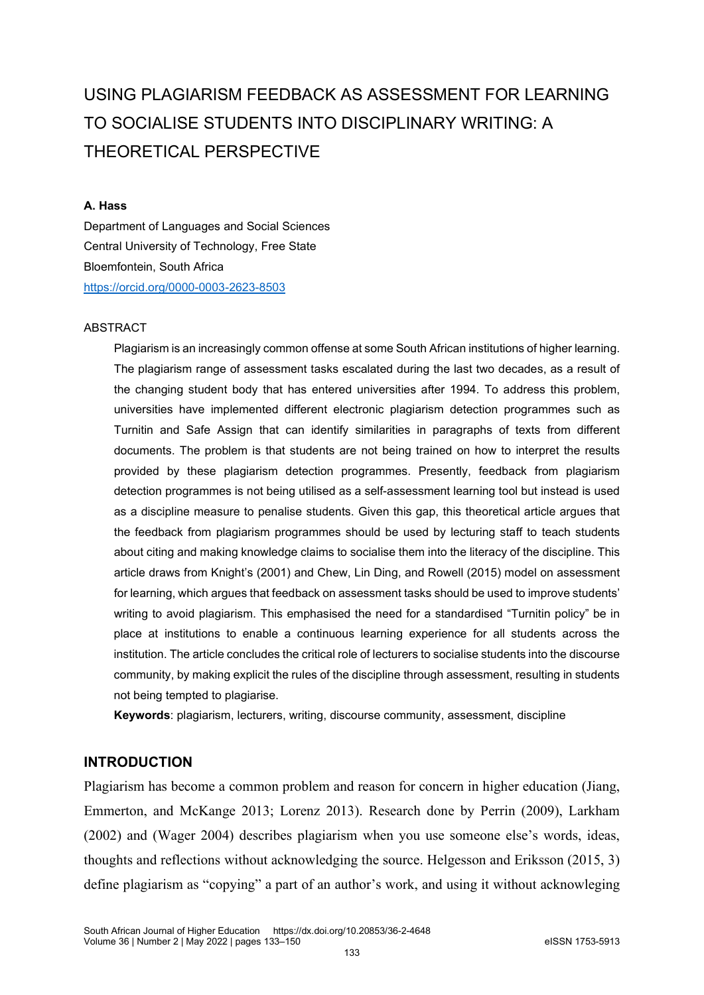# USING PLAGIARISM FEEDBACK AS ASSESSMENT FOR LEARNING TO SOCIALISE STUDENTS INTO DISCIPLINARY WRITING: A THEORETICAL PERSPECTIVE

#### **A. Hass**

Department of Languages and Social Sciences Central University of Technology, Free State Bloemfontein, South Africa <https://orcid.org/0000-0003-2623-8503>

#### ABSTRACT

Plagiarism is an increasingly common offense at some South African institutions of higher learning. The plagiarism range of assessment tasks escalated during the last two decades, as a result of the changing student body that has entered universities after 1994. To address this problem, universities have implemented different electronic plagiarism detection programmes such as Turnitin and Safe Assign that can identify similarities in paragraphs of texts from different documents. The problem is that students are not being trained on how to interpret the results provided by these plagiarism detection programmes. Presently, feedback from plagiarism detection programmes is not being utilised as a self-assessment learning tool but instead is used as a discipline measure to penalise students. Given this gap, this theoretical article argues that the feedback from plagiarism programmes should be used by lecturing staff to teach students about citing and making knowledge claims to socialise them into the literacy of the discipline. This article draws from Knight's (2001) and Chew, Lin Ding, and Rowell (2015) model on assessment for learning, which argues that feedback on assessment tasks should be used to improve students' writing to avoid plagiarism. This emphasised the need for a standardised "Turnitin policy" be in place at institutions to enable a continuous learning experience for all students across the institution. The article concludes the critical role of lecturers to socialise students into the discourse community, by making explicit the rules of the discipline through assessment, resulting in students not being tempted to plagiarise.

**Keywords**: plagiarism, lecturers, writing, discourse community, assessment, discipline

# **INTRODUCTION**

Plagiarism has become a common problem and reason for concern in higher education (Jiang, Emmerton, and McKange 2013; Lorenz 2013). Research done by Perrin (2009), Larkham (2002) and (Wager 2004) describes plagiarism when you use someone else's words, ideas, thoughts and reflections without acknowledging the source. Helgesson and Eriksson (2015, 3) define plagiarism as "copying" a part of an author's work, and using it without acknowleging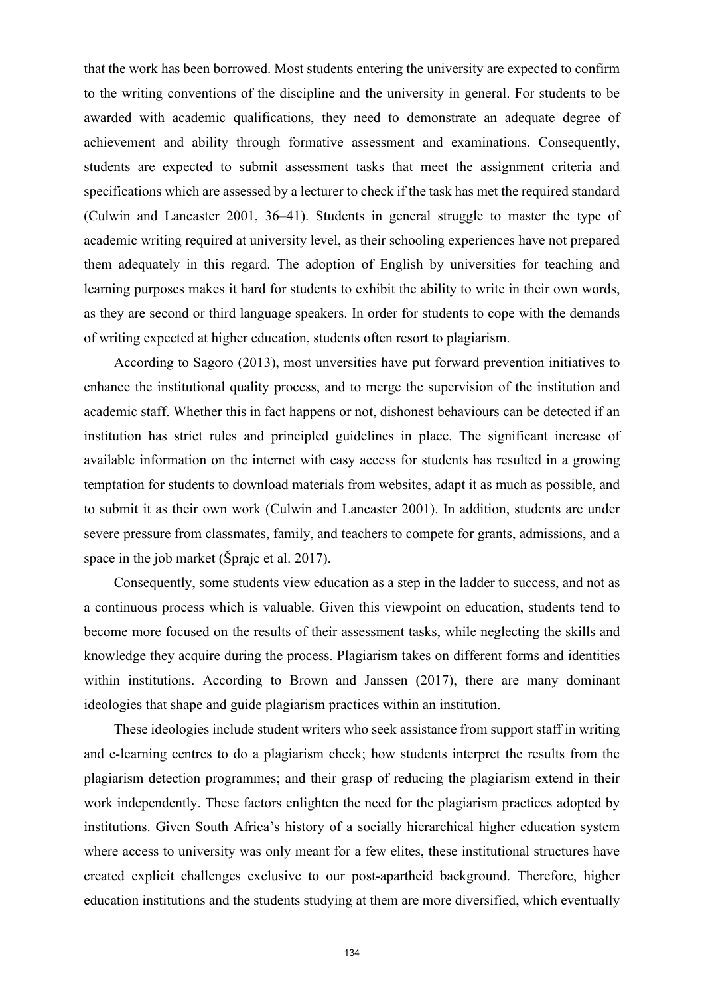that the work has been borrowed. Most students entering the university are expected to confirm to the writing conventions of the discipline and the university in general. For students to be awarded with academic qualifications, they need to demonstrate an adequate degree of achievement and ability through formative assessment and examinations. Consequently, students are expected to submit assessment tasks that meet the assignment criteria and specifications which are assessed by a lecturer to check if the task has met the required standard (Culwin and Lancaster 2001, 36–41). Students in general struggle to master the type of academic writing required at university level, as their schooling experiences have not prepared them adequately in this regard. The adoption of English by universities for teaching and learning purposes makes it hard for students to exhibit the ability to write in their own words, as they are second or third language speakers. In order for students to cope with the demands of writing expected at higher education, students often resort to plagiarism.

According to Sagoro (2013), most unversities have put forward prevention initiatives to enhance the institutional quality process, and to merge the supervision of the institution and academic staff. Whether this in fact happens or not, dishonest behaviours can be detected if an institution has strict rules and principled guidelines in place. The significant increase of available information on the internet with easy access for students has resulted in a growing temptation for students to download materials from websites, adapt it as much as possible, and to submit it as their own work (Culwin and Lancaster 2001). In addition, students are under severe pressure from classmates, family, and teachers to compete for grants, admissions, and a space in the job market (Šprajc et al. 2017).

Consequently, some students view education as a step in the ladder to success, and not as a continuous process which is valuable. Given this viewpoint on education, students tend to become more focused on the results of their assessment tasks, while neglecting the skills and knowledge they acquire during the process. Plagiarism takes on different forms and identities within institutions. According to Brown and Janssen (2017), there are many dominant ideologies that shape and guide plagiarism practices within an institution.

These ideologies include student writers who seek assistance from support staff in writing and e-learning centres to do a plagiarism check; how students interpret the results from the plagiarism detection programmes; and their grasp of reducing the plagiarism extend in their work independently. These factors enlighten the need for the plagiarism practices adopted by institutions. Given South Africa's history of a socially hierarchical higher education system where access to university was only meant for a few elites, these institutional structures have created explicit challenges exclusive to our post-apartheid background. Therefore, higher education institutions and the students studying at them are more diversified, which eventually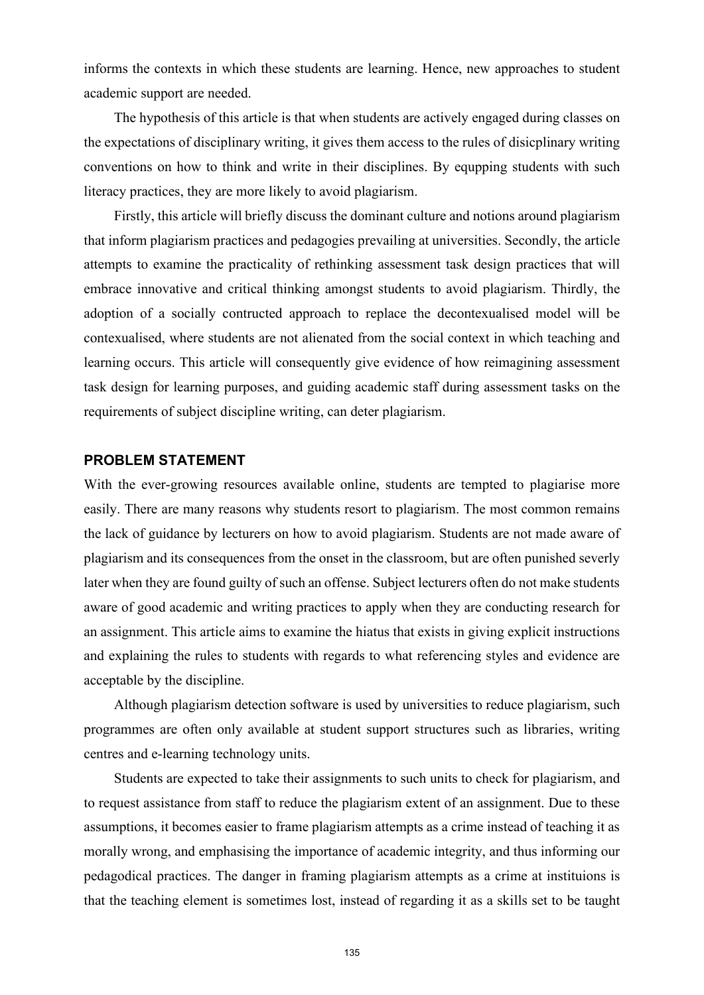informs the contexts in which these students are learning. Hence, new approaches to student academic support are needed.

The hypothesis of this article is that when students are actively engaged during classes on the expectations of disciplinary writing, it gives them access to the rules of disicplinary writing conventions on how to think and write in their disciplines. By equpping students with such literacy practices, they are more likely to avoid plagiarism.

Firstly, this article will briefly discuss the dominant culture and notions around plagiarism that inform plagiarism practices and pedagogies prevailing at universities. Secondly, the article attempts to examine the practicality of rethinking assessment task design practices that will embrace innovative and critical thinking amongst students to avoid plagiarism. Thirdly, the adoption of a socially contructed approach to replace the decontexualised model will be contexualised, where students are not alienated from the social context in which teaching and learning occurs. This article will consequently give evidence of how reimagining assessment task design for learning purposes, and guiding academic staff during assessment tasks on the requirements of subject discipline writing, can deter plagiarism.

## **PROBLEM STATEMENT**

With the ever-growing resources available online, students are tempted to plagiarise more easily. There are many reasons why students resort to plagiarism. The most common remains the lack of guidance by lecturers on how to avoid plagiarism. Students are not made aware of plagiarism and its consequences from the onset in the classroom, but are often punished severly later when they are found guilty of such an offense. Subject lecturers often do not make students aware of good academic and writing practices to apply when they are conducting research for an assignment. This article aims to examine the hiatus that exists in giving explicit instructions and explaining the rules to students with regards to what referencing styles and evidence are acceptable by the discipline.

Although plagiarism detection software is used by universities to reduce plagiarism, such programmes are often only available at student support structures such as libraries, writing centres and e-learning technology units.

Students are expected to take their assignments to such units to check for plagiarism, and to request assistance from staff to reduce the plagiarism extent of an assignment. Due to these assumptions, it becomes easier to frame plagiarism attempts as a crime instead of teaching it as morally wrong, and emphasising the importance of academic integrity, and thus informing our pedagodical practices. The danger in framing plagiarism attempts as a crime at instituions is that the teaching element is sometimes lost, instead of regarding it as a skills set to be taught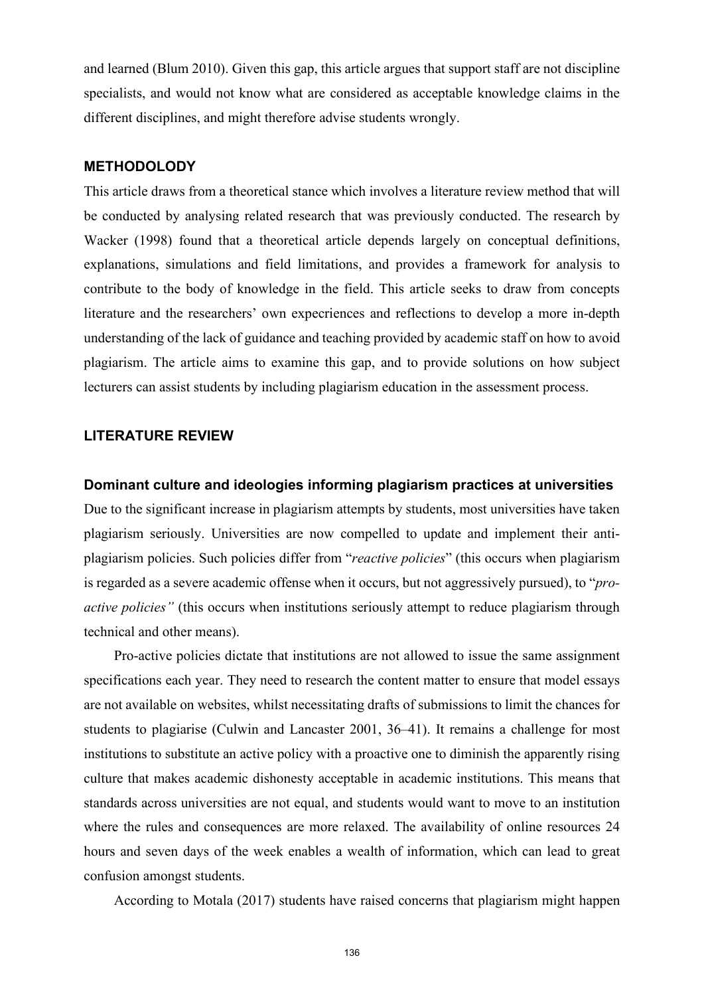and learned (Blum 2010). Given this gap, this article argues that support staff are not discipline specialists, and would not know what are considered as acceptable knowledge claims in the different disciplines, and might therefore advise students wrongly.

#### **METHODOLODY**

This article draws from a theoretical stance which involves a literature review method that will be conducted by analysing related research that was previously conducted. The research by Wacker (1998) found that a theoretical article depends largely on conceptual definitions, explanations, simulations and field limitations, and provides a framework for analysis to contribute to the body of knowledge in the field. This article seeks to draw from concepts literature and the researchers' own expecriences and reflections to develop a more in-depth understanding of the lack of guidance and teaching provided by academic staff on how to avoid plagiarism. The article aims to examine this gap, and to provide solutions on how subject lecturers can assist students by including plagiarism education in the assessment process.

# **LITERATURE REVIEW**

#### **Dominant culture and ideologies informing plagiarism practices at universities**

Due to the significant increase in plagiarism attempts by students, most universities have taken plagiarism seriously. Universities are now compelled to update and implement their antiplagiarism policies. Such policies differ from "*reactive policies*" (this occurs when plagiarism is regarded as a severe academic offense when it occurs, but not aggressively pursued), to "*proactive policies"* (this occurs when institutions seriously attempt to reduce plagiarism through technical and other means).

Pro-active policies dictate that institutions are not allowed to issue the same assignment specifications each year. They need to research the content matter to ensure that model essays are not available on websites, whilst necessitating drafts of submissions to limit the chances for students to plagiarise (Culwin and Lancaster 2001, 36–41). It remains a challenge for most institutions to substitute an active policy with a proactive one to diminish the apparently rising culture that makes academic dishonesty acceptable in academic institutions. This means that standards across universities are not equal, and students would want to move to an institution where the rules and consequences are more relaxed. The availability of online resources 24 hours and seven days of the week enables a wealth of information, which can lead to great confusion amongst students.

According to Motala (2017) students have raised concerns that plagiarism might happen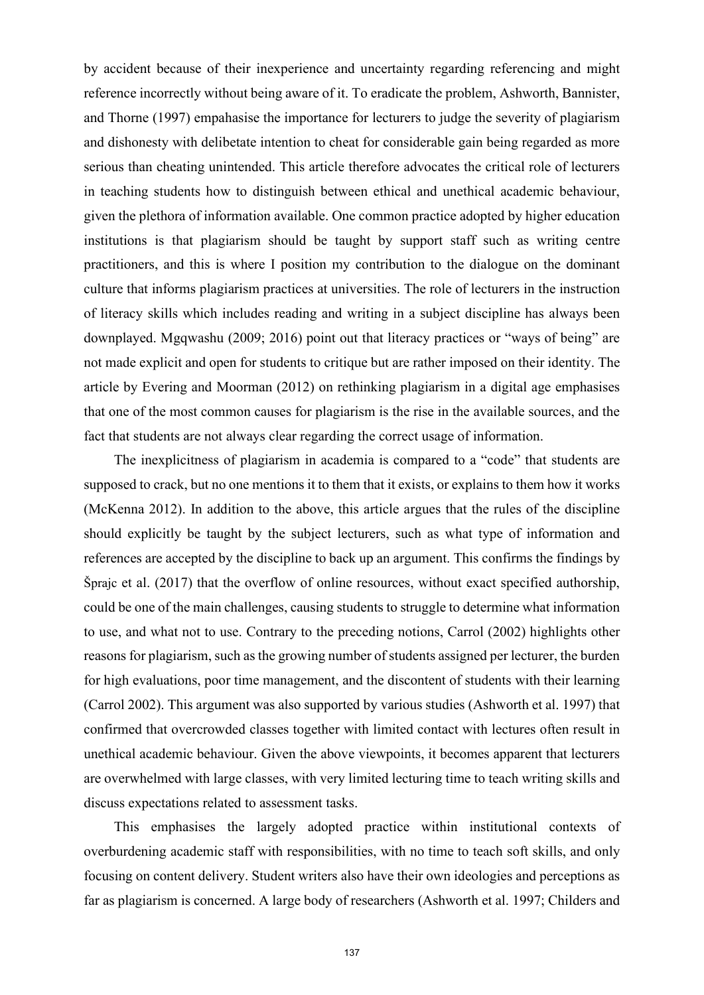by accident because of their inexperience and uncertainty regarding referencing and might reference incorrectly without being aware of it. To eradicate the problem, Ashworth, Bannister, and Thorne (1997) empahasise the importance for lecturers to judge the severity of plagiarism and dishonesty with delibetate intention to cheat for considerable gain being regarded as more serious than cheating unintended. This article therefore advocates the critical role of lecturers in teaching students how to distinguish between ethical and unethical academic behaviour, given the plethora of information available. One common practice adopted by higher education institutions is that plagiarism should be taught by support staff such as writing centre practitioners, and this is where I position my contribution to the dialogue on the dominant culture that informs plagiarism practices at universities. The role of lecturers in the instruction of literacy skills which includes reading and writing in a subject discipline has always been downplayed. Mgqwashu (2009; 2016) point out that literacy practices or "ways of being" are not made explicit and open for students to critique but are rather imposed on their identity. The article by Evering and Moorman (2012) on rethinking plagiarism in a digital age emphasises that one of the most common causes for plagiarism is the rise in the available sources, and the fact that students are not always clear regarding the correct usage of information.

The inexplicitness of plagiarism in academia is compared to a "code" that students are supposed to crack, but no one mentions it to them that it exists, or explains to them how it works (McKenna 2012). In addition to the above, this article argues that the rules of the discipline should explicitly be taught by the subject lecturers, such as what type of information and references are accepted by the discipline to back up an argument. This confirms the findings by Šprajc et al. (2017) that the overflow of online resources, without exact specified authorship, could be one of the main challenges, causing students to struggle to determine what information to use, and what not to use. Contrary to the preceding notions, Carrol (2002) highlights other reasons for plagiarism, such as the growing number of students assigned per lecturer, the burden for high evaluations, poor time management, and the discontent of students with their learning (Carrol 2002). This argument was also supported by various studies (Ashworth et al. 1997) that confirmed that overcrowded classes together with limited contact with lectures often result in unethical academic behaviour. Given the above viewpoints, it becomes apparent that lecturers are overwhelmed with large classes, with very limited lecturing time to teach writing skills and discuss expectations related to assessment tasks.

This emphasises the largely adopted practice within institutional contexts of overburdening academic staff with responsibilities, with no time to teach soft skills, and only focusing on content delivery. Student writers also have their own ideologies and perceptions as far as plagiarism is concerned. A large body of researchers (Ashworth et al. 1997; Childers and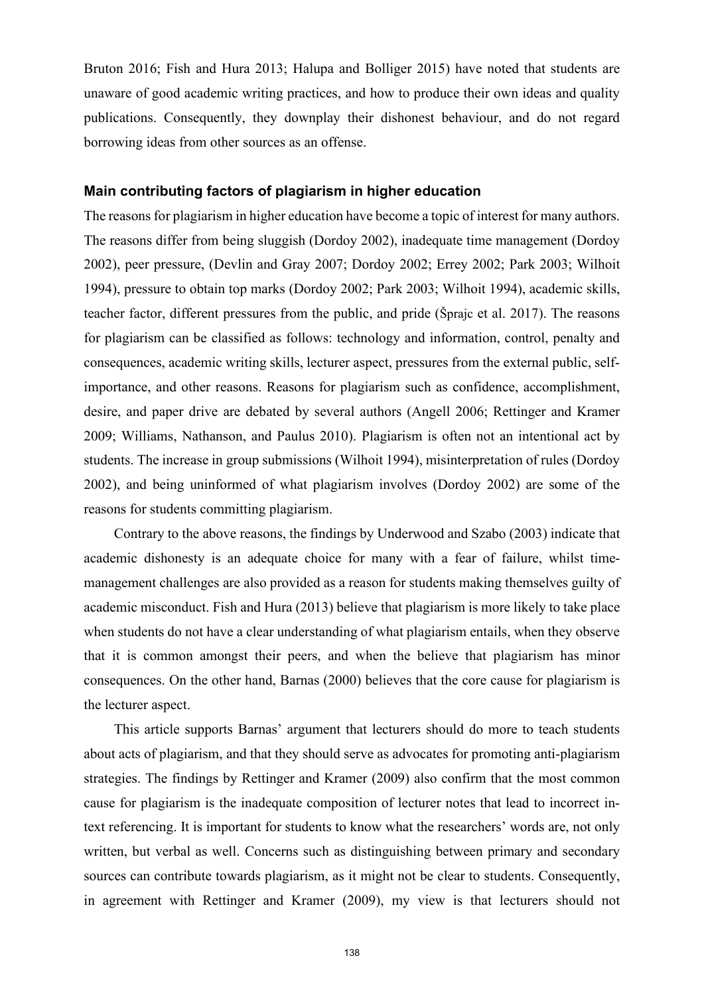Bruton 2016; Fish and Hura 2013; Halupa and Bolliger 2015) have noted that students are unaware of good academic writing practices, and how to produce their own ideas and quality publications. Consequently, they downplay their dishonest behaviour, and do not regard borrowing ideas from other sources as an offense.

## **Main contributing factors of plagiarism in higher education**

The reasons for plagiarism in higher education have become a topic of interest for many authors. The reasons differ from being sluggish (Dordoy 2002), inadequate time management (Dordoy 2002), peer pressure, (Devlin and Gray 2007; Dordoy 2002; Errey 2002; Park 2003; Wilhoit 1994), pressure to obtain top marks (Dordoy 2002; Park 2003; Wilhoit 1994), academic skills, teacher factor, different pressures from the public, and pride (Šprajc et al. 2017). The reasons for plagiarism can be classified as follows: technology and information, control, penalty and consequences, academic writing skills, lecturer aspect, pressures from the external public, selfimportance, and other reasons. Reasons for plagiarism such as confidence, accomplishment, desire, and paper drive are debated by several authors (Angell 2006; Rettinger and Kramer 2009; Williams, Nathanson, and Paulus 2010). Plagiarism is often not an intentional act by students. The increase in group submissions (Wilhoit 1994), misinterpretation of rules (Dordoy 2002), and being uninformed of what plagiarism involves (Dordoy 2002) are some of the reasons for students committing plagiarism.

Contrary to the above reasons, the findings by Underwood and Szabo (2003) indicate that academic dishonesty is an adequate choice for many with a fear of failure, whilst timemanagement challenges are also provided as a reason for students making themselves guilty of academic misconduct. Fish and Hura (2013) believe that plagiarism is more likely to take place when students do not have a clear understanding of what plagiarism entails, when they observe that it is common amongst their peers, and when the believe that plagiarism has minor consequences. On the other hand, Barnas (2000) believes that the core cause for plagiarism is the lecturer aspect.

This article supports Barnas' argument that lecturers should do more to teach students about acts of plagiarism, and that they should serve as advocates for promoting anti-plagiarism strategies. The findings by Rettinger and Kramer (2009) also confirm that the most common cause for plagiarism is the inadequate composition of lecturer notes that lead to incorrect intext referencing. It is important for students to know what the researchers' words are, not only written, but verbal as well. Concerns such as distinguishing between primary and secondary sources can contribute towards plagiarism, as it might not be clear to students. Consequently, in agreement with Rettinger and Kramer (2009), my view is that lecturers should not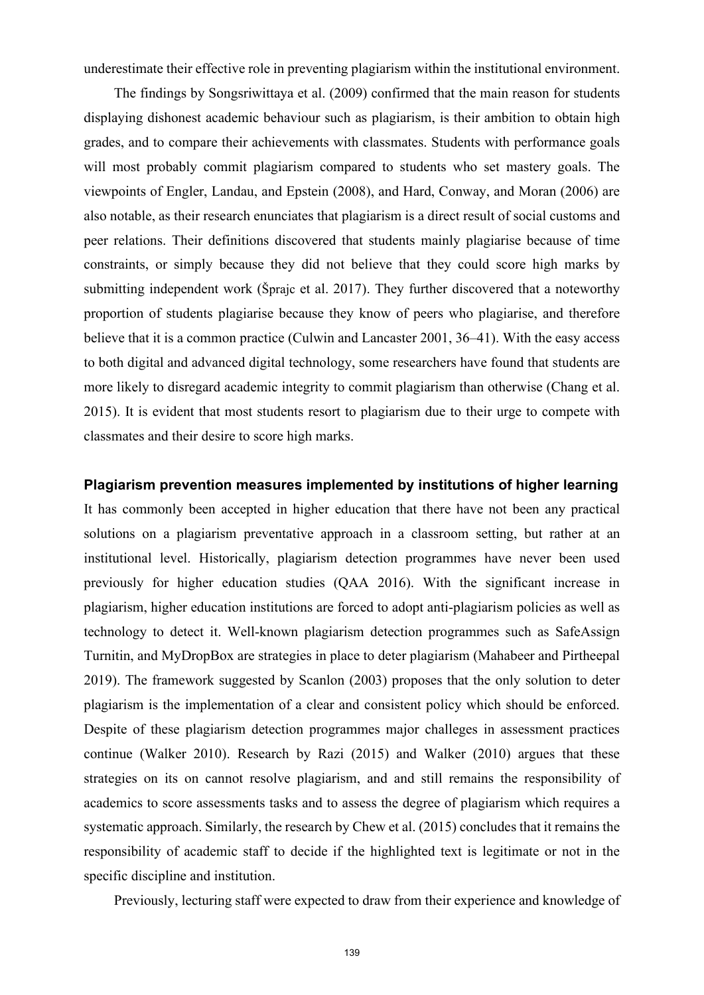underestimate their effective role in preventing plagiarism within the institutional environment.

The findings by Songsriwittaya et al. (2009) confirmed that the main reason for students displaying dishonest academic behaviour such as plagiarism, is their ambition to obtain high grades, and to compare their achievements with classmates. Students with performance goals will most probably commit plagiarism compared to students who set mastery goals. The viewpoints of Engler, Landau, and Epstein (2008), and Hard, Conway, and Moran (2006) are also notable, as their research enunciates that plagiarism is a direct result of social customs and peer relations. Their definitions discovered that students mainly plagiarise because of time constraints, or simply because they did not believe that they could score high marks by submitting independent work (Šprajc et al. 2017). They further discovered that a noteworthy proportion of students plagiarise because they know of peers who plagiarise, and therefore believe that it is a common practice (Culwin and Lancaster  $2001, 36-41$ ). With the easy access to both digital and advanced digital technology, some researchers have found that students are more likely to disregard academic integrity to commit plagiarism than otherwise (Chang et al. 2015). It is evident that most students resort to plagiarism due to their urge to compete with classmates and their desire to score high marks.

# **Plagiarism prevention measures implemented by institutions of higher learning**

It has commonly been accepted in higher education that there have not been any practical solutions on a plagiarism preventative approach in a classroom setting, but rather at an institutional level. Historically, plagiarism detection programmes have never been used previously for higher education studies (QAA 2016). With the significant increase in plagiarism, higher education institutions are forced to adopt anti-plagiarism policies as well as technology to detect it. Well-known plagiarism detection programmes such as SafeAssign Turnitin, and MyDropBox are strategies in place to deter plagiarism (Mahabeer and Pirtheepal 2019). The framework suggested by Scanlon (2003) proposes that the only solution to deter plagiarism is the implementation of a clear and consistent policy which should be enforced. Despite of these plagiarism detection programmes major challeges in assessment practices continue (Walker 2010). Research by Razi (2015) and Walker (2010) argues that these strategies on its on cannot resolve plagiarism, and and still remains the responsibility of academics to score assessments tasks and to assess the degree of plagiarism which requires a systematic approach. Similarly, the research by Chew et al. (2015) concludes that it remains the responsibility of academic staff to decide if the highlighted text is legitimate or not in the specific discipline and institution.

Previously, lecturing staff were expected to draw from their experience and knowledge of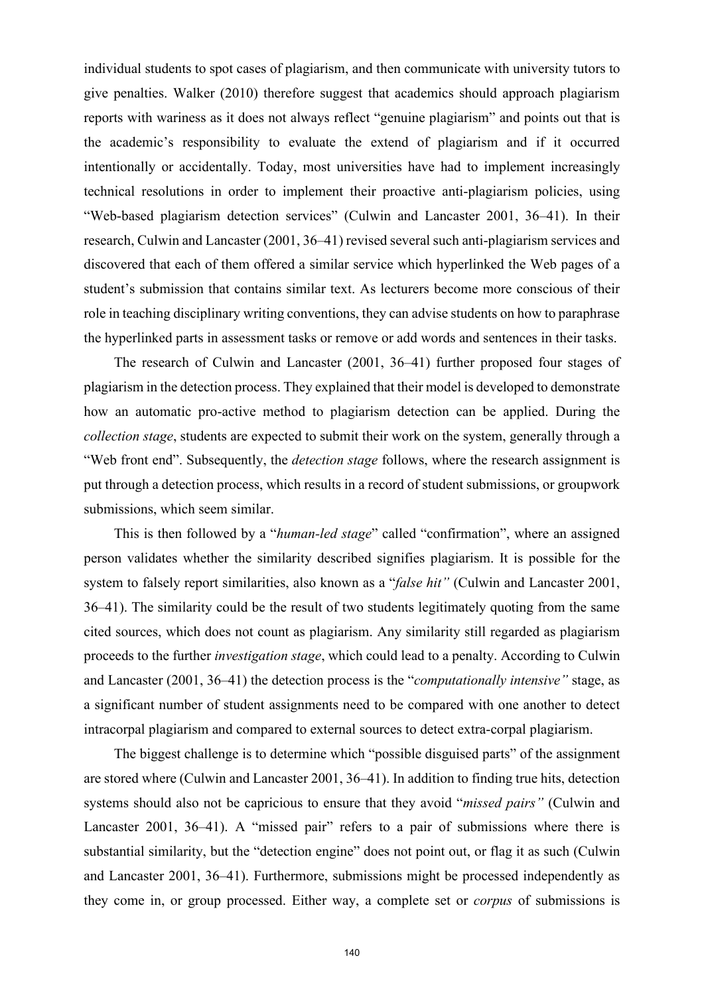individual students to spot cases of plagiarism, and then communicate with university tutors to give penalties. Walker (2010) therefore suggest that academics should approach plagiarism reports with wariness as it does not always reflect "genuine plagiarism" and points out that is the academic's responsibility to evaluate the extend of plagiarism and if it occurred intentionally or accidentally. Today, most universities have had to implement increasingly technical resolutions in order to implement their proactive anti-plagiarism policies, using "Web-based plagiarism detection services" (Culwin and Lancaster 2001, 36–41). In their research, Culwin and Lancaster (2001, 36–41) revised several such anti-plagiarism services and discovered that each of them offered a similar service which hyperlinked the Web pages of a student's submission that contains similar text. As lecturers become more conscious of their role in teaching disciplinary writing conventions, they can advise students on how to paraphrase the hyperlinked parts in assessment tasks or remove or add words and sentences in their tasks.

The research of Culwin and Lancaster (2001, 36–41) further proposed four stages of plagiarism in the detection process. They explained that their model is developed to demonstrate how an automatic pro-active method to plagiarism detection can be applied. During the *collection stage*, students are expected to submit their work on the system, generally through a "Web front end". Subsequently, the *detection stage* follows, where the research assignment is put through a detection process, which results in a record of student submissions, or groupwork submissions, which seem similar.

This is then followed by a "*human-led stage*" called "confirmation", where an assigned person validates whether the similarity described signifies plagiarism. It is possible for the system to falsely report similarities, also known as a "*false hit"* (Culwin and Lancaster 2001, 36‒41). The similarity could be the result of two students legitimately quoting from the same cited sources, which does not count as plagiarism. Any similarity still regarded as plagiarism proceeds to the further *investigation stage*, which could lead to a penalty. According to Culwin and Lancaster (2001, 36–41) the detection process is the "*computationally intensive*" stage, as a significant number of student assignments need to be compared with one another to detect intracorpal plagiarism and compared to external sources to detect extra-corpal plagiarism.

The biggest challenge is to determine which "possible disguised parts" of the assignment are stored where (Culwin and Lancaster 2001, 36–41). In addition to finding true hits, detection systems should also not be capricious to ensure that they avoid "*missed pairs"* (Culwin and Lancaster 2001, 36–41). A "missed pair" refers to a pair of submissions where there is substantial similarity, but the "detection engine" does not point out, or flag it as such (Culwin and Lancaster 2001, 36–41). Furthermore, submissions might be processed independently as they come in, or group processed. Either way, a complete set or *corpus* of submissions is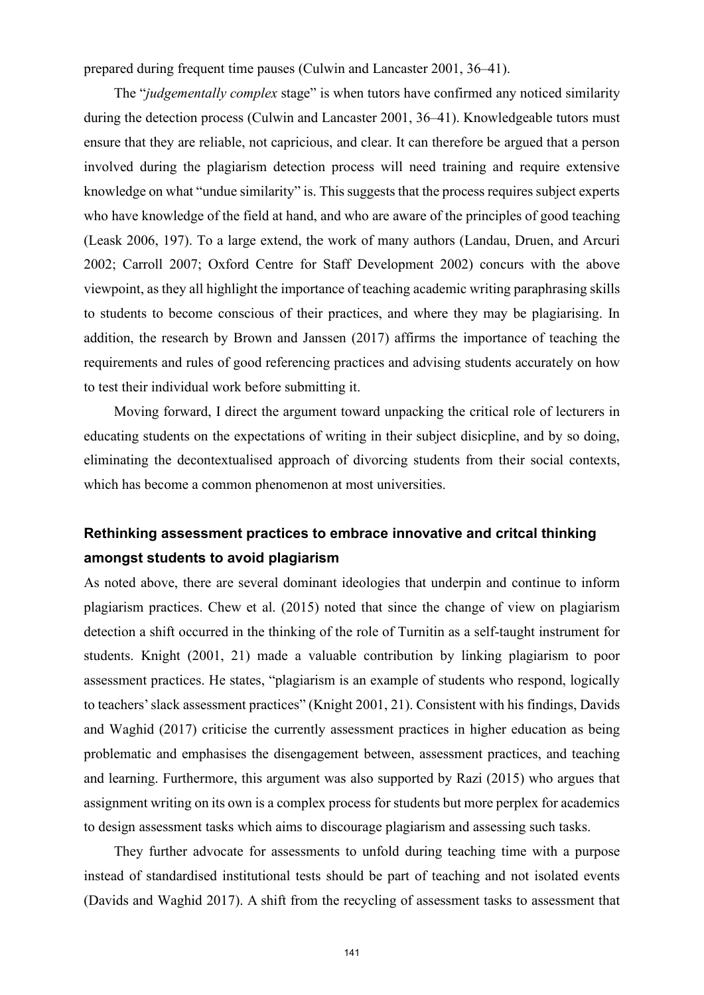prepared during frequent time pauses (Culwin and Lancaster 2001, 36–41).

The "*judgementally complex* stage" is when tutors have confirmed any noticed similarity during the detection process (Culwin and Lancaster 2001, 36–41). Knowledgeable tutors must ensure that they are reliable, not capricious, and clear. It can therefore be argued that a person involved during the plagiarism detection process will need training and require extensive knowledge on what "undue similarity" is. This suggests that the process requires subject experts who have knowledge of the field at hand, and who are aware of the principles of good teaching (Leask 2006, 197). To a large extend, the work of many authors (Landau, Druen, and Arcuri 2002; Carroll 2007; Oxford Centre for Staff Development 2002) concurs with the above viewpoint, as they all highlight the importance of teaching academic writing paraphrasing skills to students to become conscious of their practices, and where they may be plagiarising. In addition, the research by Brown and Janssen (2017) affirms the importance of teaching the requirements and rules of good referencing practices and advising students accurately on how to test their individual work before submitting it.

Moving forward, I direct the argument toward unpacking the critical role of lecturers in educating students on the expectations of writing in their subject disicpline, and by so doing, eliminating the decontextualised approach of divorcing students from their social contexts, which has become a common phenomenon at most universities.

# **Rethinking assessment practices to embrace innovative and critcal thinking amongst students to avoid plagiarism**

As noted above, there are several dominant ideologies that underpin and continue to inform plagiarism practices. Chew et al. (2015) noted that since the change of view on plagiarism detection a shift occurred in the thinking of the role of Turnitin as a self-taught instrument for students. Knight (2001, 21) made a valuable contribution by linking plagiarism to poor assessment practices. He states, "plagiarism is an example of students who respond, logically to teachers' slack assessment practices" (Knight 2001, 21). Consistent with his findings, Davids and Waghid (2017) criticise the currently assessment practices in higher education as being problematic and emphasises the disengagement between, assessment practices, and teaching and learning. Furthermore, this argument was also supported by Razi (2015) who argues that assignment writing on its own is a complex process for students but more perplex for academics to design assessment tasks which aims to discourage plagiarism and assessing such tasks.

They further advocate for assessments to unfold during teaching time with a purpose instead of standardised institutional tests should be part of teaching and not isolated events (Davids and Waghid 2017). A shift from the recycling of assessment tasks to assessment that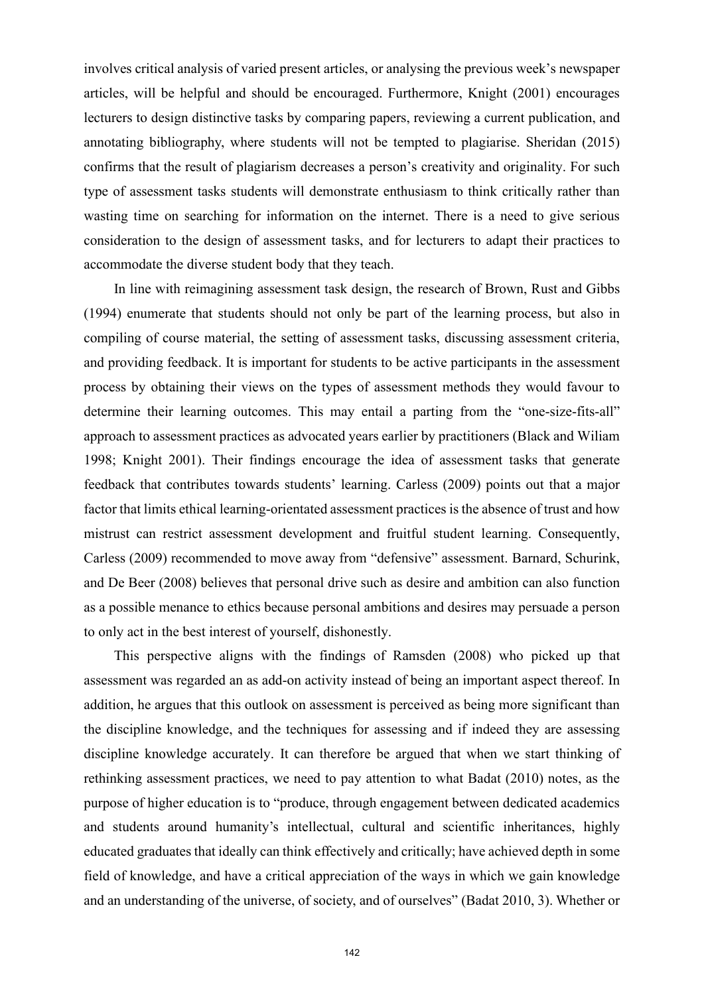involves critical analysis of varied present articles, or analysing the previous week's newspaper articles, will be helpful and should be encouraged. Furthermore, Knight (2001) encourages lecturers to design distinctive tasks by comparing papers, reviewing a current publication, and annotating bibliography, where students will not be tempted to plagiarise. Sheridan (2015) confirms that the result of plagiarism decreases a person's creativity and originality. For such type of assessment tasks students will demonstrate enthusiasm to think critically rather than wasting time on searching for information on the internet. There is a need to give serious consideration to the design of assessment tasks, and for lecturers to adapt their practices to accommodate the diverse student body that they teach.

In line with reimagining assessment task design, the research of Brown, Rust and Gibbs (1994) enumerate that students should not only be part of the learning process, but also in compiling of course material, the setting of assessment tasks, discussing assessment criteria, and providing feedback. It is important for students to be active participants in the assessment process by obtaining their views on the types of assessment methods they would favour to determine their learning outcomes. This may entail a parting from the "one-size-fits-all" approach to assessment practices as advocated years earlier by practitioners (Black and Wiliam 1998; Knight 2001). Their findings encourage the idea of assessment tasks that generate feedback that contributes towards students' learning. Carless (2009) points out that a major factor that limits ethical learning-orientated assessment practices is the absence of trust and how mistrust can restrict assessment development and fruitful student learning. Consequently, Carless (2009) recommended to move away from "defensive" assessment. Barnard, Schurink, and De Beer (2008) believes that personal drive such as desire and ambition can also function as a possible menance to ethics because personal ambitions and desires may persuade a person to only act in the best interest of yourself, dishonestly.

This perspective aligns with the findings of Ramsden (2008) who picked up that assessment was regarded an as add-on activity instead of being an important aspect thereof. In addition, he argues that this outlook on assessment is perceived as being more significant than the discipline knowledge, and the techniques for assessing and if indeed they are assessing discipline knowledge accurately. It can therefore be argued that when we start thinking of rethinking assessment practices, we need to pay attention to what Badat (2010) notes, as the purpose of higher education is to "produce, through engagement between dedicated academics and students around humanity's intellectual, cultural and scientific inheritances, highly educated graduates that ideally can think effectively and critically; have achieved depth in some field of knowledge, and have a critical appreciation of the ways in which we gain knowledge and an understanding of the universe, of society, and of ourselves" (Badat 2010, 3). Whether or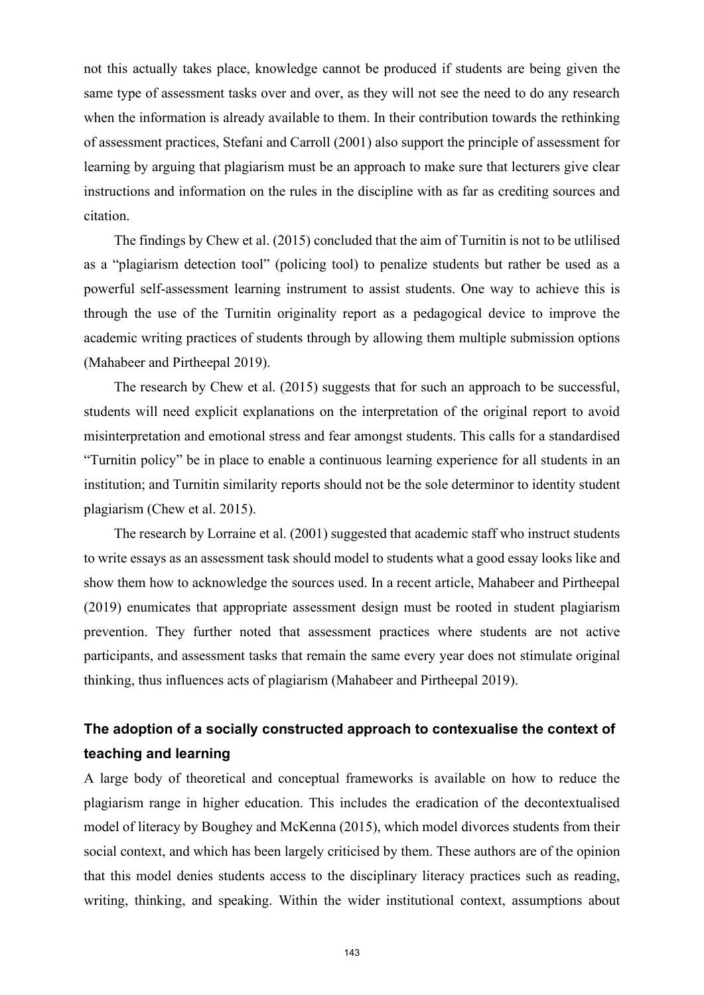not this actually takes place, knowledge cannot be produced if students are being given the same type of assessment tasks over and over, as they will not see the need to do any research when the information is already available to them. In their contribution towards the rethinking of assessment practices, Stefani and Carroll (2001) also support the principle of assessment for learning by arguing that plagiarism must be an approach to make sure that lecturers give clear instructions and information on the rules in the discipline with as far as crediting sources and citation.

The findings by Chew et al. (2015) concluded that the aim of Turnitin is not to be utlilised as a "plagiarism detection tool" (policing tool) to penalize students but rather be used as a powerful self-assessment learning instrument to assist students. One way to achieve this is through the use of the Turnitin originality report as a pedagogical device to improve the academic writing practices of students through by allowing them multiple submission options (Mahabeer and Pirtheepal 2019).

The research by Chew et al. (2015) suggests that for such an approach to be successful, students will need explicit explanations on the interpretation of the original report to avoid misinterpretation and emotional stress and fear amongst students. This calls for a standardised "Turnitin policy" be in place to enable a continuous learning experience for all students in an institution; and Turnitin similarity reports should not be the sole determinor to identity student plagiarism (Chew et al. 2015).

The research by Lorraine et al. (2001) suggested that academic staff who instruct students to write essays as an assessment task should model to students what a good essay looks like and show them how to acknowledge the sources used. In a recent article, Mahabeer and Pirtheepal (2019) enumicates that appropriate assessment design must be rooted in student plagiarism prevention. They further noted that assessment practices where students are not active participants, and assessment tasks that remain the same every year does not stimulate original thinking, thus influences acts of plagiarism (Mahabeer and Pirtheepal 2019).

# **The adoption of a socially constructed approach to contexualise the context of teaching and learning**

A large body of theoretical and conceptual frameworks is available on how to reduce the plagiarism range in higher education. This includes the eradication of the decontextualised model of literacy by Boughey and McKenna (2015), which model divorces students from their social context, and which has been largely criticised by them. These authors are of the opinion that this model denies students access to the disciplinary literacy practices such as reading, writing, thinking, and speaking. Within the wider institutional context, assumptions about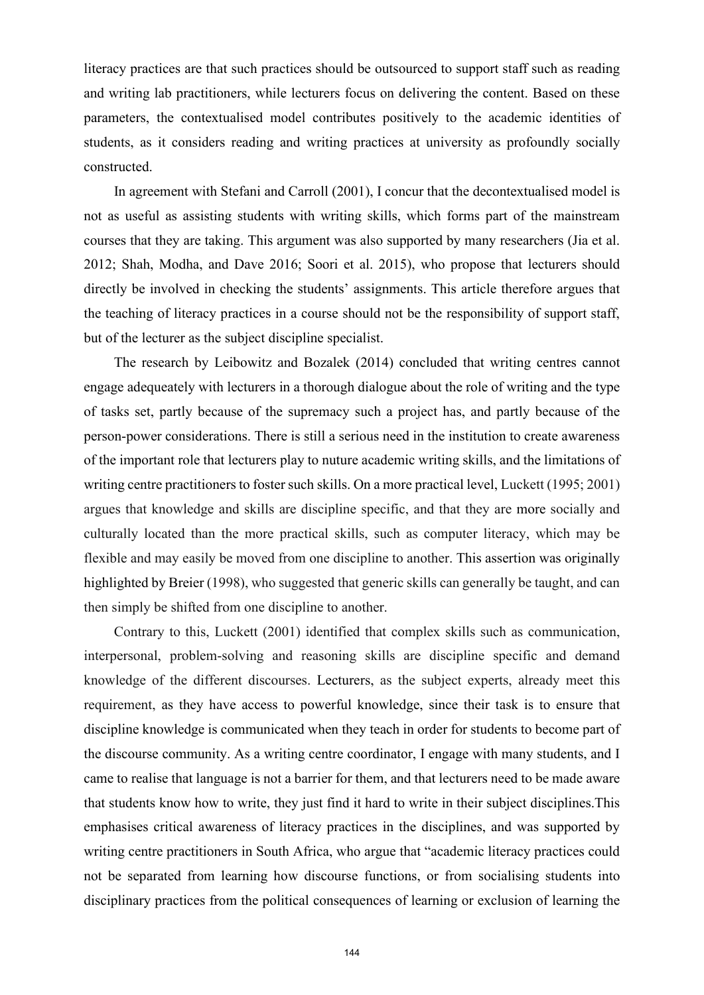literacy practices are that such practices should be outsourced to support staff such as reading and writing lab practitioners, while lecturers focus on delivering the content. Based on these parameters, the contextualised model contributes positively to the academic identities of students, as it considers reading and writing practices at university as profoundly socially constructed.

In agreement with Stefani and Carroll (2001), I concur that the decontextualised model is not as useful as assisting students with writing skills, which forms part of the mainstream courses that they are taking. This argument was also supported by many researchers (Jia et al. 2012; Shah, Modha, and Dave 2016; Soori et al. 2015), who propose that lecturers should directly be involved in checking the students' assignments. This article therefore argues that the teaching of literacy practices in a course should not be the responsibility of support staff, but of the lecturer as the subject discipline specialist.

The research by Leibowitz and Bozalek (2014) concluded that writing centres cannot engage adequeately with lecturers in a thorough dialogue about the role of writing and the type of tasks set, partly because of the supremacy such a project has, and partly because of the person-power considerations. There is still a serious need in the institution to create awareness of the important role that lecturers play to nuture academic writing skills, and the limitations of writing centre practitioners to foster such skills. On a more practical level, Luckett (1995; 2001) argues that knowledge and skills are discipline specific, and that they are more socially and culturally located than the more practical skills, such as computer literacy, which may be flexible and may easily be moved from one discipline to another. This assertion was originally highlighted by Breier (1998), who suggested that generic skills can generally be taught, and can then simply be shifted from one discipline to another.

Contrary to this, Luckett (2001) identified that complex skills such as communication, interpersonal, problem-solving and reasoning skills are discipline specific and demand knowledge of the different discourses. Lecturers, as the subject experts, already meet this requirement, as they have access to powerful knowledge, since their task is to ensure that discipline knowledge is communicated when they teach in order for students to become part of the discourse community. As a writing centre coordinator, I engage with many students, and I came to realise that language is not a barrier for them, and that lecturers need to be made aware that students know how to write, they just find it hard to write in their subject disciplines.This emphasises critical awareness of literacy practices in the disciplines, and was supported by writing centre practitioners in South Africa, who argue that "academic literacy practices could not be separated from learning how discourse functions, or from socialising students into disciplinary practices from the political consequences of learning or exclusion of learning the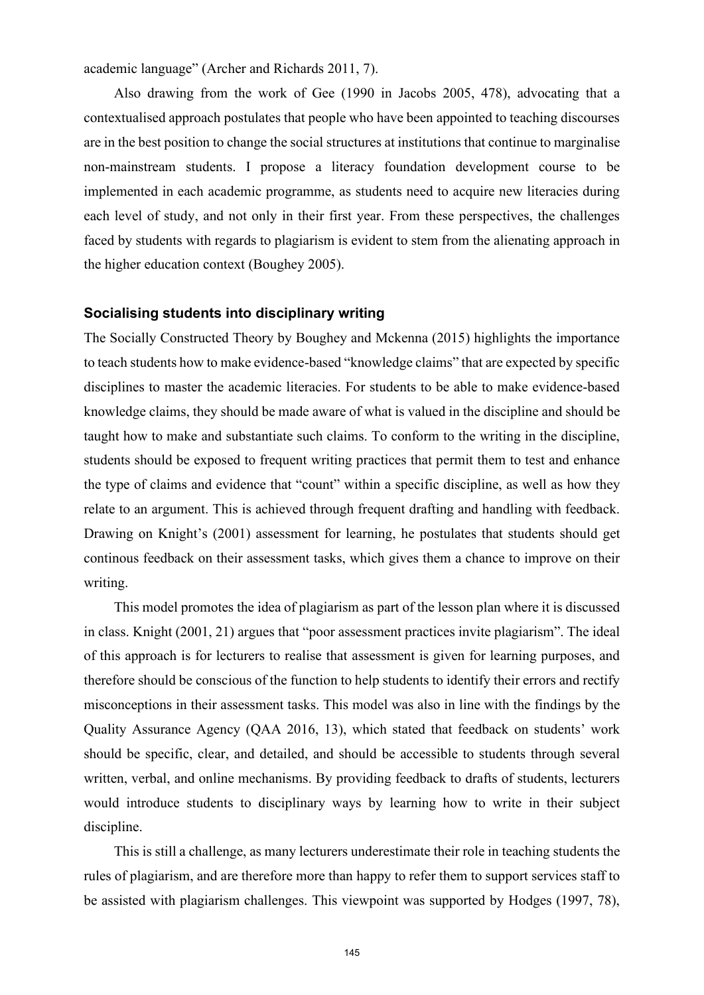academic language" (Archer and Richards 2011, 7).

Also drawing from the work of Gee (1990 in Jacobs 2005, 478), advocating that a contextualised approach postulates that people who have been appointed to teaching discourses are in the best position to change the social structures at institutions that continue to marginalise non-mainstream students. I propose a literacy foundation development course to be implemented in each academic programme, as students need to acquire new literacies during each level of study, and not only in their first year. From these perspectives, the challenges faced by students with regards to plagiarism is evident to stem from the alienating approach in the higher education context (Boughey 2005).

## **Socialising students into disciplinary writing**

The Socially Constructed Theory by Boughey and Mckenna (2015) highlights the importance to teach students how to make evidence-based "knowledge claims" that are expected by specific disciplines to master the academic literacies. For students to be able to make evidence-based knowledge claims, they should be made aware of what is valued in the discipline and should be taught how to make and substantiate such claims. To conform to the writing in the discipline, students should be exposed to frequent writing practices that permit them to test and enhance the type of claims and evidence that "count" within a specific discipline, as well as how they relate to an argument. This is achieved through frequent drafting and handling with feedback. Drawing on Knight's (2001) assessment for learning, he postulates that students should get continous feedback on their assessment tasks, which gives them a chance to improve on their writing.

This model promotes the idea of plagiarism as part of the lesson plan where it is discussed in class. Knight (2001, 21) argues that "poor assessment practices invite plagiarism". The ideal of this approach is for lecturers to realise that assessment is given for learning purposes, and therefore should be conscious of the function to help students to identify their errors and rectify misconceptions in their assessment tasks. This model was also in line with the findings by the Quality Assurance Agency (QAA 2016, 13), which stated that feedback on students' work should be specific, clear, and detailed, and should be accessible to students through several written, verbal, and online mechanisms. By providing feedback to drafts of students, lecturers would introduce students to disciplinary ways by learning how to write in their subject discipline.

This is still a challenge, as many lecturers underestimate their role in teaching students the rules of plagiarism, and are therefore more than happy to refer them to support services staff to be assisted with plagiarism challenges. This viewpoint was supported by Hodges (1997, 78),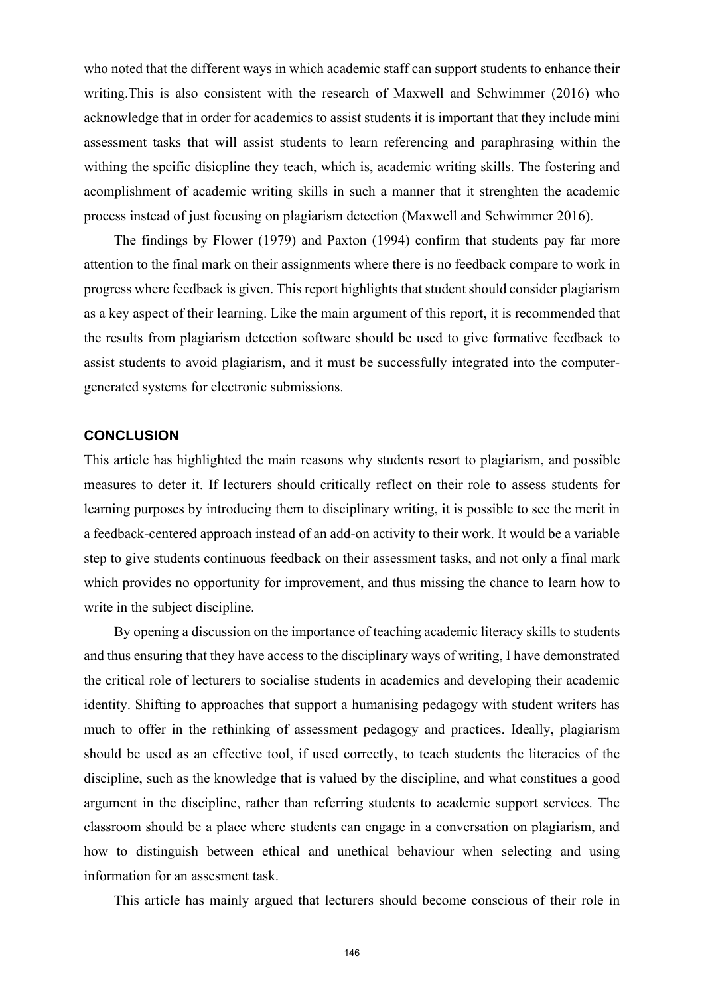who noted that the different ways in which academic staff can support students to enhance their writing.This is also consistent with the research of Maxwell and Schwimmer (2016) who acknowledge that in order for academics to assist students it is important that they include mini assessment tasks that will assist students to learn referencing and paraphrasing within the withing the spcific disicpline they teach, which is, academic writing skills. The fostering and acomplishment of academic writing skills in such a manner that it strenghten the academic process instead of just focusing on plagiarism detection (Maxwell and Schwimmer 2016).

The findings by Flower (1979) and Paxton (1994) confirm that students pay far more attention to the final mark on their assignments where there is no feedback compare to work in progress where feedback is given. This report highlights that student should consider plagiarism as a key aspect of their learning. Like the main argument of this report, it is recommended that the results from plagiarism detection software should be used to give formative feedback to assist students to avoid plagiarism, and it must be successfully integrated into the computergenerated systems for electronic submissions.

## **CONCLUSION**

This article has highlighted the main reasons why students resort to plagiarism, and possible measures to deter it. If lecturers should critically reflect on their role to assess students for learning purposes by introducing them to disciplinary writing, it is possible to see the merit in a feedback-centered approach instead of an add-on activity to their work. It would be a variable step to give students continuous feedback on their assessment tasks, and not only a final mark which provides no opportunity for improvement, and thus missing the chance to learn how to write in the subject discipline.

By opening a discussion on the importance of teaching academic literacy skills to students and thus ensuring that they have access to the disciplinary ways of writing, I have demonstrated the critical role of lecturers to socialise students in academics and developing their academic identity. Shifting to approaches that support a humanising pedagogy with student writers has much to offer in the rethinking of assessment pedagogy and practices. Ideally, plagiarism should be used as an effective tool, if used correctly, to teach students the literacies of the discipline, such as the knowledge that is valued by the discipline, and what constitues a good argument in the discipline, rather than referring students to academic support services. The classroom should be a place where students can engage in a conversation on plagiarism, and how to distinguish between ethical and unethical behaviour when selecting and using information for an assesment task.

This article has mainly argued that lecturers should become conscious of their role in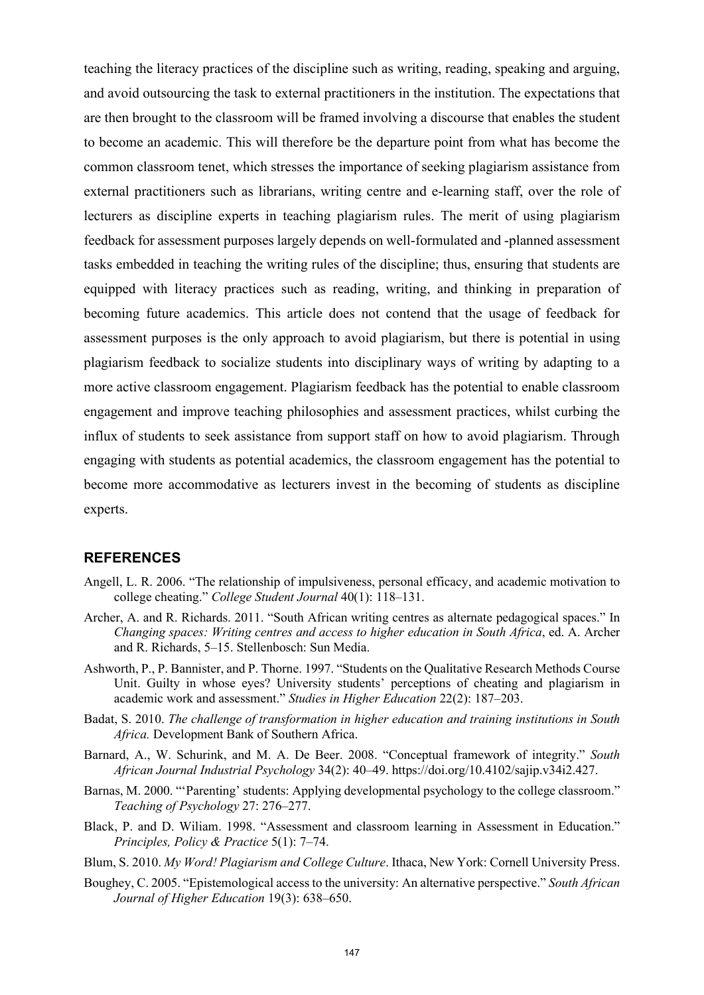teaching the literacy practices of the discipline such as writing, reading, speaking and arguing, and avoid outsourcing the task to external practitioners in the institution. The expectations that are then brought to the classroom will be framed involving a discourse that enables the student to become an academic. This will therefore be the departure point from what has become the common classroom tenet, which stresses the importance of seeking plagiarism assistance from external practitioners such as librarians, writing centre and e-learning staff, over the role of lecturers as discipline experts in teaching plagiarism rules. The merit of using plagiarism feedback for assessment purposes largely depends on well-formulated and -planned assessment tasks embedded in teaching the writing rules of the discipline; thus, ensuring that students are equipped with literacy practices such as reading, writing, and thinking in preparation of becoming future academics. This article does not contend that the usage of feedback for assessment purposes is the only approach to avoid plagiarism, but there is potential in using plagiarism feedback to socialize students into disciplinary ways of writing by adapting to a more active classroom engagement. Plagiarism feedback has the potential to enable classroom engagement and improve teaching philosophies and assessment practices, whilst curbing the influx of students to seek assistance from support staff on how to avoid plagiarism. Through engaging with students as potential academics, the classroom engagement has the potential to become more accommodative as lecturers invest in the becoming of students as discipline experts.

#### **REFERENCES**

- Angell, L. R. 2006. "The relationship of impulsiveness, personal efficacy, and academic motivation to college cheating." *College Student Journal* 40(1): 118-131.
- Archer, A. and R. Richards. 2011. "South African writing centres as alternate pedagogical spaces." In *Changing spaces: Writing centres and access to higher education in South Africa*, ed. A. Archer and R. Richards, 5-15. Stellenbosch: Sun Media.
- Ashworth, P., P. Bannister, and P. Thorne. 1997. "Students on the Qualitative Research Methods Course Unit. Guilty in whose eyes? University students' perceptions of cheating and plagiarism in academic work and assessment." *Studies in Higher Education* 22(2): 187–203.
- Badat, S. 2010. *The challenge of transformation in higher education and training institutions in South Africa.* Development Bank of Southern Africa.
- Barnard, A., W. Schurink, and M. A. De Beer. 2008. "Conceptual framework of integrity." *South African Journal Industrial Psychology* 34(2): 40–49. https://doi.org/10.4102/sajip.v34i2.427.
- Barnas, M. 2000. "Parenting' students: Applying developmental psychology to the college classroom." *Teaching of Psychology* 27: 276‒277.
- Black, P. and D. Wiliam. 1998. "Assessment and classroom learning in Assessment in Education." *Principles, Policy & Practice* 5(1): 7–74.
- Blum, S. 2010. *My Word! Plagiarism and College Culture*. Ithaca, New York: Cornell University Press.
- Boughey, C. 2005. "Epistemological access to the university: An alternative perspective." *South African Journal of Higher Education* 19(3): 638‒650.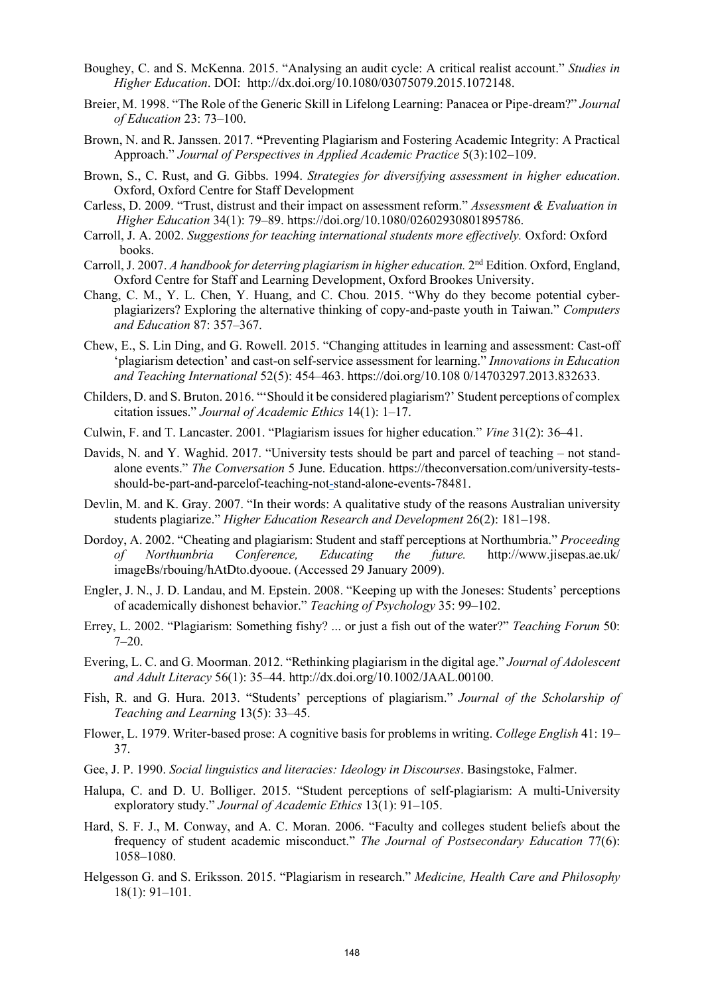- Boughey, C. and S. McKenna. 2015. "Analysing an audit cycle: A critical realist account." *Studies in Higher Education*. DOI: http://dx.doi.org/10.1080/03075079.2015.1072148.
- Breier, M. 1998. "The Role of the Generic Skill in Lifelong Learning: Panacea or Pipe-dream?" *Journal of Education* 23: 73–100.
- Brown, N. and R. Janssen. 2017. **"**Preventing Plagiarism and Fostering Academic Integrity: A Practical Approach." *Journal of Perspectives in Applied Academic Practice* 5(3):102–109.
- Brown, S., C. Rust, and G. Gibbs. 1994. *Strategies for diversifying assessment in higher education*. Oxford, Oxford Centre for Staff Development
- Carless, D. 2009. "Trust, distrust and their impact on assessment reform." *Assessment & Evaluation in Higher Education* 34(1): 79–89. https://doi.org/10.1080/02602930801895786.
- Carroll, J. A. 2002. *Suggestions for teaching international students more effectively*. Oxford: Oxford books.
- Carroll, J. 2007. *A handbook for deterring plagiarism in higher education.* 2nd Edition. Oxford, England, Oxford Centre for Staff and Learning Development, Oxford Brookes University.
- Chang, C. M., Y. L. Chen, Y. Huang, and C. Chou. 2015. "Why do they become potential cyberplagiarizers? Exploring the alternative thinking of copy-and-paste youth in Taiwan." *Computers and Education* 87: 357‒367.
- Chew, E., S. Lin Ding, and G. Rowell. 2015. "Changing attitudes in learning and assessment: Cast-off 'plagiarism detection' and cast-on self-service assessment for learning." *[Innovations](https://www.researchgate.net/journal/Innovations-in-Education-and-Teaching-International-1470-3300) in Education [and Teaching International](https://www.researchgate.net/journal/Innovations-in-Education-and-Teaching-International-1470-3300)* 52(5): 454–463. https://doi.org/10.108 0/14703297.2013.832633.
- Childers, D. and S. Bruton. 2016. "'Should it be considered plagiarism?' Student perceptions of complex citation issues." *Journal of Academic Ethics* 14(1): 1‒17.
- Culwin, F. and T. Lancaster. 2001. "Plagiarism issues for higher education." *Vine* 31(2): 36‒41.
- Davids, N. and Y. Waghid. 2017. "University tests should be part and parcel of teaching not standalone events." *The Conversation* 5 June. Education. https://theconversation.com/university-testsshould-be-part-and-parcelof-teaching-not-stand-alone-events-78481.
- Devlin, M. and K. Gray. 2007. "In their words: A qualitative study of the reasons Australian university students plagiarize." *Higher Education Research and Development* 26(2): 181-198.
- Dordoy, A. 2002. "Cheating and plagiarism: Student and staff perceptions at Northumbria." *Proceeding of Northumbria Conference, Educating the future.* http://www.jisepas.ae.uk/ imageBs/rbouing/hAtDto.dyooue. (Accessed 29 January 2009).
- Engler, J. N., J. D. Landau, and M. Epstein. 2008. "Keeping up with the Joneses: Students' perceptions of academically dishonest behavior." *Teaching of Psychology* 35: 99–102.
- Errey, L. 2002. "Plagiarism: Something fishy? ... or just a fish out of the water?" *Teaching Forum* 50:  $7 - 20.$
- Evering, L. C. and G. Moorman. 2012. "Rethinking plagiarism in the digital age." *Journal of Adolescent and Adult Literacy* 56(1): 35‒44. http://dx.doi.org/10.1002/JAAL.00100.
- Fish, R. and G. Hura. 2013. "Students' perceptions of plagiarism." *Journal of the Scholarship of Teaching and Learning* 13(5): 33‒45.
- Flower, L. 1979. Writer-based prose: A cognitive basis for problems in writing. *College English* 41: 19– 37.
- Gee, J. P. 1990. *Social linguistics and literacies: Ideology in Discourses*. Basingstoke, Falmer.
- Halupa, C. and D. U. Bolliger. 2015. "Student perceptions of self-plagiarism: A multi-University exploratory study." *Journal of Academic Ethics* 13(1): 91-105.
- Hard, S. F. J., M. Conway, and A. C. Moran. 2006. "Faculty and colleges student beliefs about the frequency of student academic misconduct." *The Journal of Postsecondary Education* 77(6): 1058‒1080.
- Helgesson G. and S. Eriksson. 2015. "Plagiarism in research." *Medicine, Health Care and Philosophy*  $18(1): 91-101.$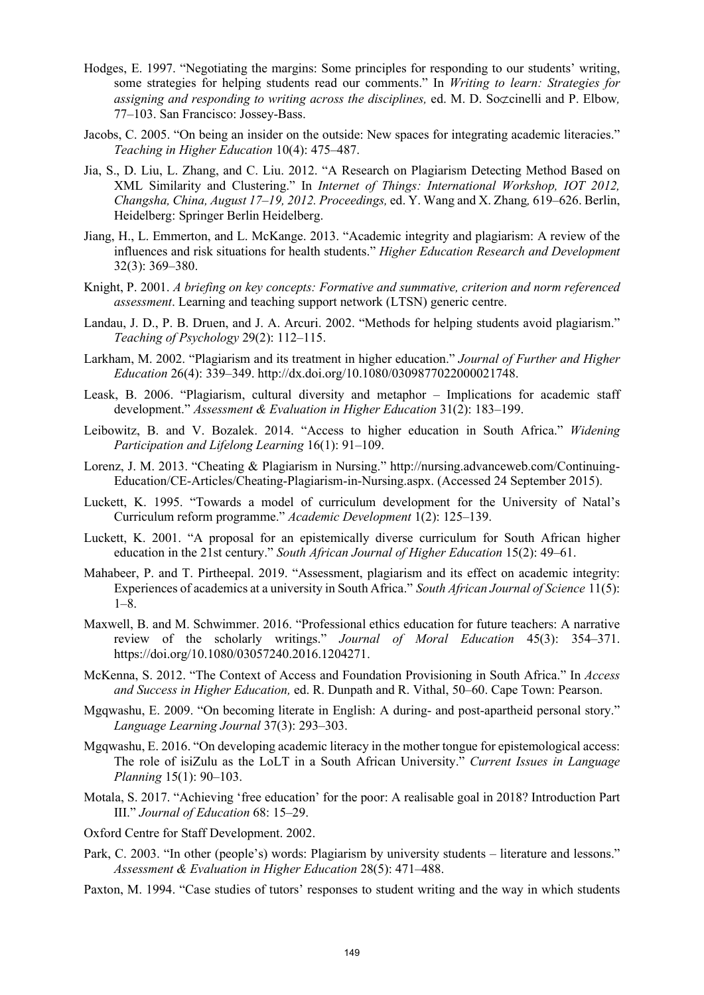- Hodges, E. 1997. "Negotiating the margins: Some principles for responding to our students' writing, some strategies for helping students read our comments." In *Writing to learn: Strategies for assigning and responding to writing across the disciplines,* ed. M. D. So⊄cinelli and P. Elbow, 77-103. San Francisco: Jossey-Bass.
- Jacobs, C. 2005. "On being an insider on the outside: New spaces for integrating academic literacies." *Teaching in Higher Education* 10(4): 475‒487.
- Jia, S., D. Liu, L. Zhang, and C. Liu. 2012. "A Research on Plagiarism Detecting Method Based on XML Similarity and Clustering." In *Internet of Things: International Workshop, IOT 2012, Changsha, China, August 17‒19, 2012. Proceedings,* ed. Y. Wang and X. Zhang*,* 619‒626. Berlin, Heidelberg: Springer Berlin Heidelberg.
- Jiang, H., L. Emmerton, and L. McKange. 2013. "Academic integrity and plagiarism: A review of the influences and risk situations for health students." *Higher Education Research and Development*  32(3): 369‒380.
- Knight, P. 2001. *A briefing on key concepts: Formative and summative, criterion and norm referenced assessment*. Learning and teaching support network (LTSN) generic centre.
- Landau, J. D., P. B. Druen, and J. A. Arcuri. 2002. "Methods for helping students avoid plagiarism." *Teaching of Psychology* 29(2): 112‒115.
- Larkham, M. 2002. "Plagiarism and its treatment in higher education." *Journal of Further and Higher Education* 26(4): 339‒349. http://dx.doi.org/10.1080/0309877022000021748.
- Leask, B. 2006. "Plagiarism, cultural diversity and metaphor Implications for academic staff development." *Assessment & Evaluation in Higher Education* 31(2): 183-199.
- Leibowitz, B. and V. Bozalek. 2014. "Access to higher education in South Africa." *Widening Participation and Lifelong Learning* 16(1): 91-109.
- Lorenz, J. M. 2013. "Cheating & Plagiarism in Nursing." http://nursing.advanceweb.com/Continuing-Education/CE-Articles/Cheating-Plagiarism-in-Nursing.aspx. (Accessed 24 September 2015).
- Luckett, K. 1995. "Towards a model of curriculum development for the University of Natal's Curriculum reform programme." *Academic Development* 1(2): 125‒139.
- Luckett, K. 2001. "A proposal for an epistemically diverse curriculum for South African higher education in the 21st century." *South African Journal of Higher Education* 15(2): 49–61.
- Mahabeer, P. and T. Pirtheepal. 2019. "Assessment, plagiarism and its effect on academic integrity: Experiences of academics at a university in South Africa." *South African Journal of Science* 11(5):  $1 - 8$ .
- Maxwell, B. and M. Schwimmer. 2016. "Professional ethics education for future teachers: A narrative review of the scholarly writings." *Journal of Moral Education* 45(3): 354–371. https://doi.org/10.1080/03057240.2016.1204271.
- McKenna, S. 2012. "The Context of Access and Foundation Provisioning in South Africa." In *Access and Success in Higher Education,* ed. R. Dunpath and R. Vithal, 50‒60. Cape Town: Pearson.
- Mgqwashu, E. 2009. "On becoming literate in English: A during- and post-apartheid personal story." *Language Learning Journal* 37(3): 293‒303.
- Mgqwashu, E. 2016. "On developing academic literacy in the mother tongue for epistemological access: The role of isiZulu as the LoLT in a South African University." *Current Issues in [Language](https://www.researchgate.net/journal/1466-4208_Current_Issues_in_Language_Planning) [Planning](https://www.researchgate.net/journal/1466-4208_Current_Issues_in_Language_Planning)* 15(1): 90–103.
- Motala, S. 2017. "Achieving 'free education' for the poor: A realisable goal in 2018? Introduction Part III." *Journal of Education* 68: 15–29.
- Oxford Centre for Staff Development. 2002.
- Park, C. 2003. "In other (people's) words: Plagiarism by university students literature and lessons." *Assessment & Evaluation in Higher Education* 28(5): 471–488.
- Paxton, M. 1994. "Case studies of tutors' responses to student writing and the way in which students